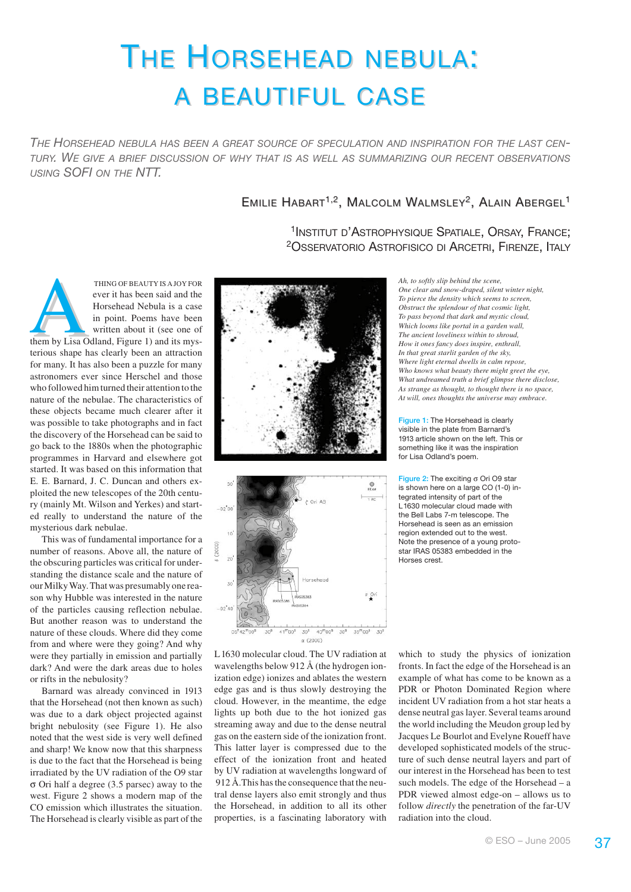# THE HORSEHEAD NEBULA: **A BEAUTIFUL CASE**

*THE HORSEHEAD NEBULA HAS BEEN A GREAT SOURCE OF SPECULATION AND INSPIRATION FOR THE LAST CEN-TURY. WE GIVE A BRIEF DISCUSSION OF WHY THAT IS AS WELL AS SUMMARIZING OUR RECENT OBSERVATIONS USING SOFI ON THE NTT.*

# EMILIE HABART<sup>1,2</sup>, MALCOLM WALMSLEY<sup>2</sup>, ALAIN ABERGEL<sup>1</sup>

1INSTITUT D'ASTROPHYSIQUE SPATIALE, ORSAY, FRANCE; 2OSSERVATORIO ASTROFISICO DI ARCETRI, FIRENZE, ITALY

THING OF BEAUTY IS A JOY FOR<br>
ever it has been said and the<br>
Horsehead Nebula is a case<br>
in point. Poems have been<br>
written about it (see one of<br>
them by Lisa Odland, Figure 1) and its mysever it has been said and the Horsehead Nebula is a case in point. Poems have been written about it (see one of terious shape has clearly been an attraction for many. It has also been a puzzle for many astronomers ever since Herschel and those who followed him turned their attention to the nature of the nebulae. The characteristics of these objects became much clearer after it was possible to take photographs and in fact the discovery of the Horsehead can be said to go back to the 1880s when the photographic programmes in Harvard and elsewhere got started. It was based on this information that E. E. Barnard, J. C. Duncan and others exploited the new telescopes of the 20th century (mainly Mt. Wilson and Yerkes) and started really to understand the nature of the mysterious dark nebulae.

This was of fundamental importance for a number of reasons. Above all, the nature of the obscuring particles was critical for understanding the distance scale and the nature of our Milky Way. That was presumably one reason why Hubble was interested in the nature of the particles causing reflection nebulae. But another reason was to understand the nature of these clouds. Where did they come from and where were they going? And why were they partially in emission and partially dark? And were the dark areas due to holes or rifts in the nebulosity?

Barnard was already convinced in 1913 that the Horsehead (not then known as such) was due to a dark object projected against bright nebulosity (see Figure 1). He also noted that the west side is very well defined and sharp! We know now that this sharpness is due to the fact that the Horsehead is being irradiated by the UV radiation of the O9 star σ Ori half a degree (3.5 parsec) away to the west. Figure 2 shows a modern map of the CO emission which illustrates the situation. The Horsehead is clearly visible as part of the





L1630 molecular cloud. The UV radiation at wavelengths below 912 Å (the hydrogen ionization edge) ionizes and ablates the western edge gas and is thus slowly destroying the cloud. However, in the meantime, the edge lights up both due to the hot ionized gas streaming away and due to the dense neutral gas on the eastern side of the ionization front. This latter layer is compressed due to the effect of the ionization front and heated by UV radiation at wavelengths longward of 912 Å.This has the consequence that the neutral dense layers also emit strongly and thus the Horsehead, in addition to all its other properties, is a fascinating laboratory with *Ah, to softly slip behind the scene, One clear and snow-draped, silent winter night, To pierce the density which seems to screen, Obstruct the splendour of that cosmic light, To pass beyond that dark and mystic cloud, Which looms like portal in a garden wall, The ancient loveliness within to shroud, How it ones fancy does inspire, enthrall, In that great starlit garden of the sky, Where light eternal dwells in calm repose, Who knows what beauty there might greet the eye, What undreamed truth a brief glimpse there disclose, As strange as thought, to thought there is no space, At will, ones thoughts the universe may embrace.*

Figure 1: The Horsehead is clearly visible in the plate from Barnard's 1913 article shown on the left. This or something like it was the inspiration for Lisa Odland's poem.

Figure 2: The exciting σ Ori O9 star is shown here on a large CO (1-0) integrated intensity of part of the L<sub>1630</sub> molecular cloud made with the Bell Labs 7-m telescope. The Horsehead is seen as an emission region extended out to the west. Note the presence of a young protostar IRAS 05383 embedded in the Horses crest.

which to study the physics of ionization fronts. In fact the edge of the Horsehead is an example of what has come to be known as a PDR or Photon Dominated Region where incident UV radiation from a hot star heats a dense neutral gas layer. Several teams around the world including the Meudon group led by Jacques Le Bourlot and Evelyne Roueff have developed sophisticated models of the structure of such dense neutral layers and part of our interest in the Horsehead has been to test such models. The edge of the Horsehead – a PDR viewed almost edge-on – allows us to follow *directly* the penetration of the far-UV radiation into the cloud.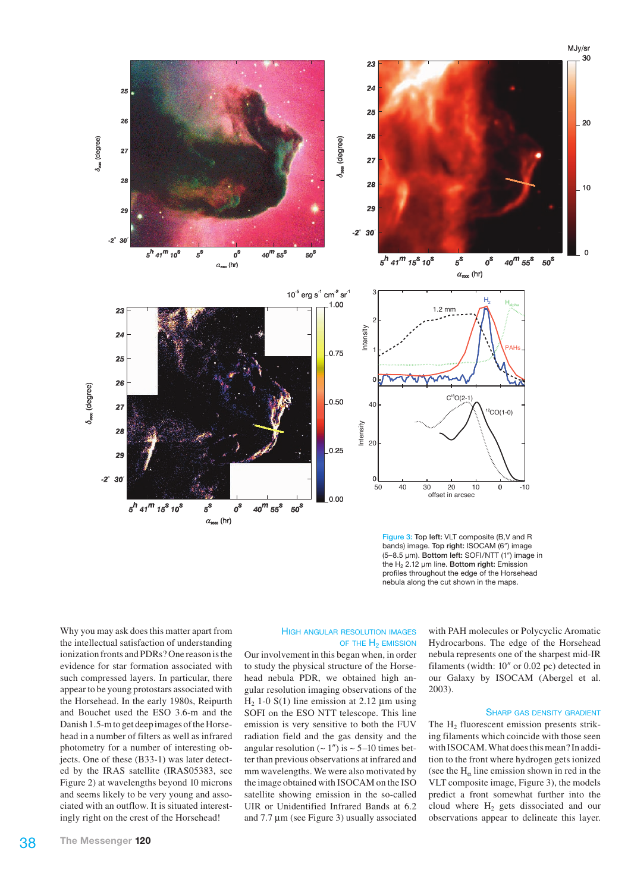

Figure 3: Top left: VLT composite (B,V and R bands) image. Top right: ISOCAM (6") image (5–8.5 µm). Bottom left: SOFI/NTT (1?) image in the H<sub>2</sub> 2.12 um line. Bottom right: Emission profiles throughout the edge of the Horsehead nebula along the cut shown in the maps.

Why you may ask does this matter apart from the intellectual satisfaction of understanding ionization fronts and PDRs? One reason is the evidence for star formation associated with such compressed layers. In particular, there appear to be young protostars associated with the Horsehead. In the early 1980s, Reipurth and Bouchet used the ESO 3.6-m and the Danish 1.5-m to get deep images of the Horsehead in a number of filters as well as infrared photometry for a number of interesting objects. One of these (B33-1) was later detected by the IRAS satellite (IRAS05383, see Figure 2) at wavelengths beyond 10 microns and seems likely to be very young and associated with an outflow. It is situated interestingly right on the crest of the Horsehead!

#### HIGH ANGULAR RESOLUTION IMAGES OF THE H<sub>2</sub> EMISSION

Our involvement in this began when, in order to study the physical structure of the Horsehead nebula PDR, we obtained high angular resolution imaging observations of the H<sub>2</sub> 1-0 S(1) line emission at 2.12  $\mu$ m using SOFI on the ESO NTT telescope. This line emission is very sensitive to both the FUV radiation field and the gas density and the angular resolution  $({\sim} 1'')$  is  ${\sim} 5{\text -}10$  times better than previous observations at infrared and mm wavelengths. We were also motivated by the image obtained with ISOCAM on the ISO satellite showing emission in the so-called UIR or Unidentified Infrared Bands at 6.2 and 7.7 µm (see Figure 3) usually associated with PAH molecules or Polycyclic Aromatic Hydrocarbons. The edge of the Horsehead nebula represents one of the sharpest mid-IR filaments (width:  $10''$  or  $0.02$  pc) detected in our Galaxy by ISOCAM (Abergel et al. 2003).

#### SHARP GAS DENSITY GRADIENT

The  $H_2$  fluorescent emission presents striking filaments which coincide with those seen with ISOCAM. What does this mean? In addition to the front where hydrogen gets ionized (see the  $H_\alpha$  line emission shown in red in the VLT composite image, Figure 3), the models predict a front somewhat further into the cloud where  $H<sub>2</sub>$  gets dissociated and our observations appear to delineate this layer.